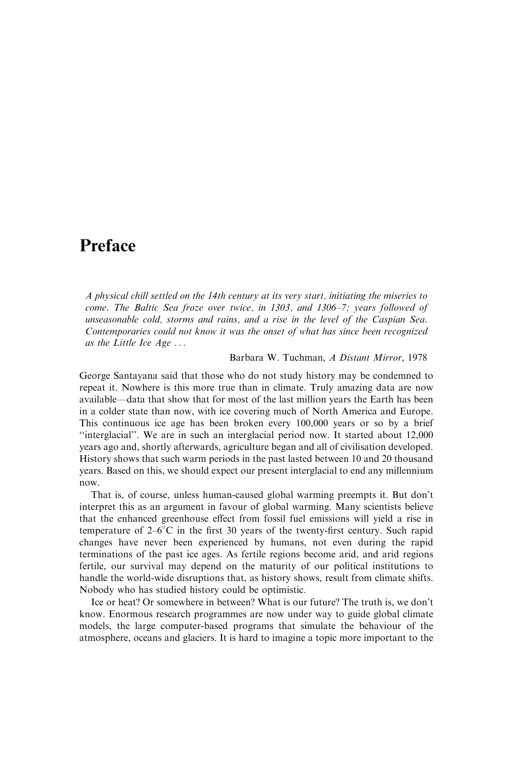## Preface

A physical chill settled on the 14th century at its very start, initiating the miseries to come. The Baltic Sea froze over twice, in 1303, and 1306–7; years followed of unseasonable cold, storms and rains, and a rise in the level of the Caspian Sea. Contemporaries could not know it was the onset of what has since been recognized as the Little Ice  $Age \dots$ 

#### Barbara W. Tuchman, A Distant Mirror, 1978

George Santayana said that those who do not study history may be condemned to repeat it. Nowhere is this more true than in climate. Truly amazing data are now available—data that show that for most of the last million years the Earth has been in a colder state than now, with ice covering much of North America and Europe. This continuous ice age has been broken every 100,000 years or so by a brief "interglacial". We are in such an interglacial period now. It started about 12,000 years ago and, shortly afterwards, agriculture began and all of civilisation developed. History shows that such warm periods in the past lasted between 10 and 20 thousand years. Based on this, we should expect our present interglacial to end any millennium now.

That is, of course, unless human-caused global warming preempts it. But don't interpret this as an argument in favour of global warming. Many scientists believe that the enhanced greenhouse effect from fossil fuel emissions will yield a rise in temperature of  $2-6^{\circ}$ C in the first 30 years of the twenty-first century. Such rapid changes have never been experienced by humans, not even during the rapid terminations of the past ice ages. As fertile regions become arid, and arid regions fertile, our survival may depend on the maturity of our political institutions to handle the world-wide disruptions that, as history shows, result from climate shifts. Nobody who has studied history could be optimistic.

Ice or heat? Or somewhere in between? What is our future? The truth is, we don't know. Enormous research programmes are now under way to guide global climate models, the large computer-based programs that simulate the behaviour of the atmosphere, oceans and glaciers. It is hard to imagine a topic more important to the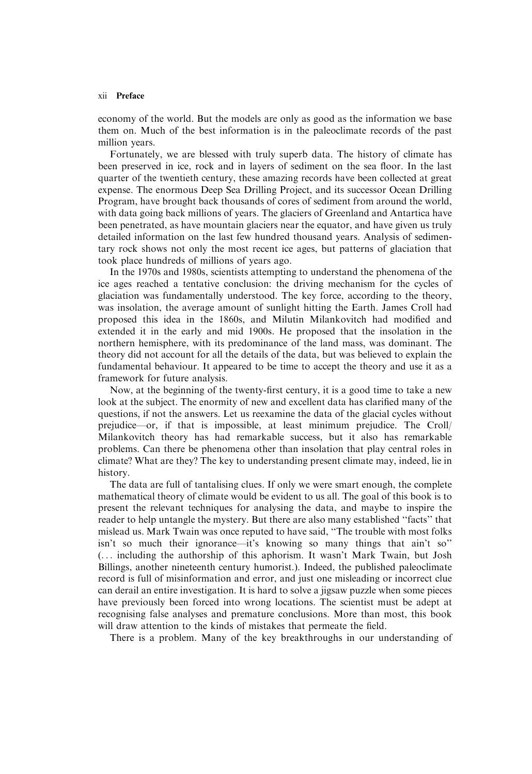#### xii Preface

economy of the world. But the models are only as good as the information we base them on. Much of the best information is in the paleoclimate records of the past million years.

Fortunately, we are blessed with truly superb data. The history of climate has been preserved in ice, rock and in layers of sediment on the sea floor. In the last quarter of the twentieth century, these amazing records have been collected at great expense. The enormous Deep Sea Drilling Project, and its successor Ocean Drilling Program, have brought back thousands of cores of sediment from around the world, with data going back millions of years. The glaciers of Greenland and Antartica have been penetrated, as have mountain glaciers near the equator, and have given us truly detailed information on the last few hundred thousand years. Analysis of sedimentary rock shows not only the most recent ice ages, but patterns of glaciation that took place hundreds of millions of years ago.

In the 1970s and 1980s, scientists attempting to understand the phenomena of the ice ages reached a tentative conclusion: the driving mechanism for the cycles of glaciation was fundamentally understood. The key force, according to the theory, was insolation, the average amount of sunlight hitting the Earth. James Croll had proposed this idea in the 1860s, and Milutin Milankovitch had modified and extended it in the early and mid 1900s. He proposed that the insolation in the northern hemisphere, with its predominance of the land mass, was dominant. The theory did not account for all the details of the data, but was believed to explain the fundamental behaviour. It appeared to be time to accept the theory and use it as a framework for future analysis.

Now, at the beginning of the twenty-first century, it is a good time to take a new look at the subject. The enormity of new and excellent data has clarified many of the questions, if not the answers. Let us reexamine the data of the glacial cycles without prejudice—or, if that is impossible, at least minimum prejudice. The Croll/ Milankovitch theory has had remarkable success, but it also has remarkable problems. Can there be phenomena other than insolation that play central roles in climate? What are they? The key to understanding present climate may, indeed, lie in history.

The data are full of tantalising clues. If only we were smart enough, the complete mathematical theory of climate would be evident to us all. The goal of this book is to present the relevant techniques for analysing the data, and maybe to inspire the reader to help untangle the mystery. But there are also many established "facts" that mislead us. Mark Twain was once reputed to have said, "The trouble with most folks isn't so much their ignorance—it's knowing so many things that ain't so" (... including the authorship of this aphorism. It wasn't Mark Twain, but Josh Billings, another nineteenth century humorist.). Indeed, the published paleoclimate record is full of misinformation and error, and just one misleading or incorrect clue can derail an entire investigation. It is hard to solve a jigsaw puzzle when some pieces have previously been forced into wrong locations. The scientist must be adept at recognising false analyses and premature conclusions. More than most, this book will draw attention to the kinds of mistakes that permeate the field.

There is a problem. Many of the key breakthroughs in our understanding of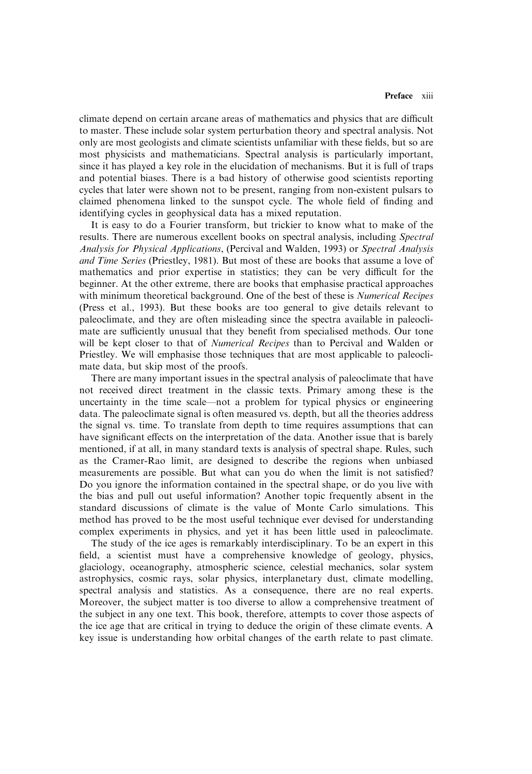climate depend on certain arcane areas of mathematics and physics that are difficult to master. These include solar system perturbation theory and spectral analysis. Not only are most geologists and climate scientists unfamiliar with these fields, but so are most physicists and mathematicians. Spectral analysis is particularly important, since it has played a key role in the elucidation of mechanisms. But it is full of traps and potential biases. There is a bad history of otherwise good scientists reporting cycles that later were shown not to be present, ranging from non-existent pulsars to claimed phenomena linked to the sunspot cycle. The whole field of finding and identifying cycles in geophysical data has a mixed reputation.

It is easy to do a Fourier transform, but trickier to know what to make of the results. There are numerous excellent books on spectral analysis, including Spectral Analysis for Physical Applications, (Percival and Walden, 1993) or Spectral Analysis and Time Series (Priestley, 1981). But most of these are books that assume a love of mathematics and prior expertise in statistics; they can be very difficult for the beginner. At the other extreme, there are books that emphasise practical approaches with minimum theoretical background. One of the best of these is *Numerical Recipes* (Press et al., 1993). But these books are too general to give details relevant to paleoclimate, and they are often misleading since the spectra available in paleoclimate are sufficiently unusual that they benefit from specialised methods. Our tone will be kept closer to that of *Numerical Recipes* than to Percival and Walden or Priestley. We will emphasise those techniques that are most applicable to paleoclimate data, but skip most of the proofs.

There are many important issues in the spectral analysis of paleoclimate that have not received direct treatment in the classic texts. Primary among these is the uncertainty in the time scale—not a problem for typical physics or engineering data. The paleoclimate signal is often measured vs. depth, but all the theories address the signal vs. time. To translate from depth to time requires assumptions that can have significant effects on the interpretation of the data. Another issue that is barely mentioned, if at all, in many standard texts is analysis of spectral shape. Rules, such as the Cramer-Rao limit, are designed to describe the regions when unbiased measurements are possible. But what can you do when the limit is not satisfied? Do you ignore the information contained in the spectral shape, or do you live with the bias and pull out useful information? Another topic frequently absent in the standard discussions of climate is the value of Monte Carlo simulations. This method has proved to be the most useful technique ever devised for understanding complex experiments in physics, and yet it has been little used in paleoclimate.

The study of the ice ages is remarkably interdisciplinary. To be an expert in this field, a scientist must have a comprehensive knowledge of geology, physics, glaciology, oceanography, atmospheric science, celestial mechanics, solar system astrophysics, cosmic rays, solar physics, interplanetary dust, climate modelling, spectral analysis and statistics. As a consequence, there are no real experts. Moreover, the subject matter is too diverse to allow a comprehensive treatment of the subject in any one text. This book, therefore, attempts to cover those aspects of the ice age that are critical in trying to deduce the origin of these climate events. A key issue is understanding how orbital changes of the earth relate to past climate.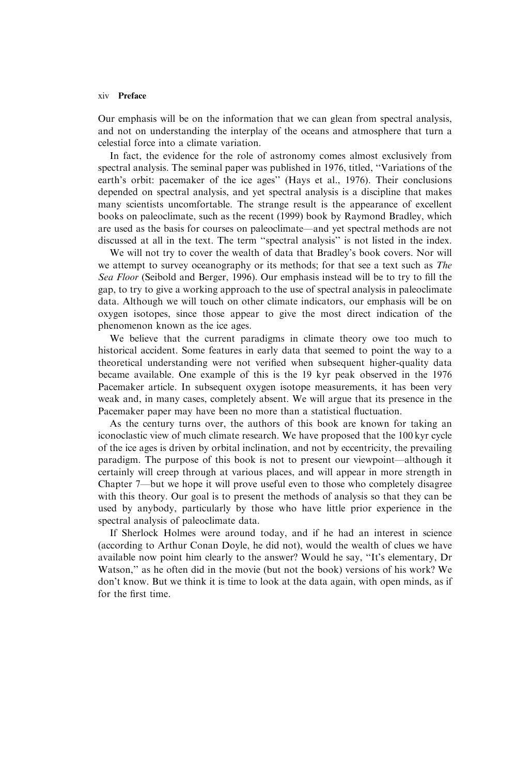#### xiv Preface

Our emphasis will be on the information that we can glean from spectral analysis, and not on understanding the interplay of the oceans and atmosphere that turn a celestial force into a climate variation.

In fact, the evidence for the role of astronomy comes almost exclusively from spectral analysis. The seminal paper was published in 1976, titled, "Variations of the earth's orbit: pacemaker of the ice ages" (Hays et al., 1976). Their conclusions depended on spectral analysis, and yet spectral analysis is a discipline that makes many scientists uncomfortable. The strange result is the appearance of excellent books on paleoclimate, such as the recent (1999) book by Raymond Bradley, which are used as the basis for courses on paleoclimate—and yet spectral methods are not discussed at all in the text. The term "spectral analysis" is not listed in the index.

We will not try to cover the wealth of data that Bradley's book covers. Nor will we attempt to survey oceanography or its methods; for that see a text such as The Sea Floor (Seibold and Berger, 1996). Our emphasis instead will be to try to fill the gap, to try to give a working approach to the use of spectral analysis in paleoclimate data. Although we will touch on other climate indicators, our emphasis will be on oxygen isotopes, since those appear to give the most direct indication of the phenomenon known as the ice ages.

We believe that the current paradigms in climate theory owe too much to historical accident. Some features in early data that seemed to point the way to a theoretical understanding were not verified when subsequent higher-quality data became available. One example of this is the 19 kyr peak observed in the 1976 Pacemaker article. In subsequent oxygen isotope measurements, it has been very weak and, in many cases, completely absent. We will argue that its presence in the Pacemaker paper may have been no more than a statistical fluctuation.

As the century turns over, the authors of this book are known for taking an iconoclastic view of much climate research. We have proposed that the 100 kyr cycle of the ice ages is driven by orbital inclination, and not by eccentricity, the prevailing paradigm. The purpose of this book is not to present our viewpoint-although it certainly will creep through at various places, and will appear in more strength in Chapter 7—but we hope it will prove useful even to those who completely disagree with this theory. Our goal is to present the methods of analysis so that they can be used by anybody, particularly by those who have little prior experience in the spectral analysis of paleoclimate data.

If Sherlock Holmes were around today, and if he had an interest in science (according to Arthur Conan Doyle, he did not), would the wealth of clues we have available now point him clearly to the answer? Would he say, "It's elementary, Dr Watson," as he often did in the movie (but not the book) versions of his work? We don't know. But we think it is time to look at the data again, with open minds, as if for the first time.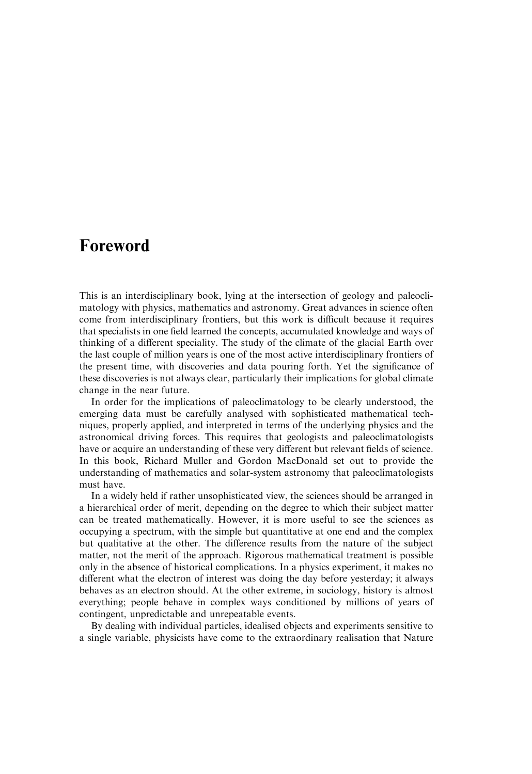### **Foreword**

This is an interdisciplinary book, lying at the intersection of geology and paleoclimatology with physics, mathematics and astronomy. Great advances in science often come from interdisciplinary frontiers, but this work is difficult because it requires that specialists in one field learned the concepts, accumulated knowledge and ways of thinking of a different speciality. The study of the climate of the glacial Earth over the last couple of million years is one of the most active interdisciplinary frontiers of the present time, with discoveries and data pouring forth. Yet the significance of these discoveries is not always clear, particularly their implications for global climate change in the near future.

In order for the implications of paleoclimatology to be clearly understood, the emerging data must be carefully analysed with sophisticated mathematical techniques, properly applied, and interpreted in terms of the underlying physics and the astronomical driving forces. This requires that geologists and paleoclimatologists have or acquire an understanding of these very different but relevant fields of science. In this book, Richard Muller and Gordon MacDonald set out to provide the understanding of mathematics and solar-system astronomy that paleoclimatologists must have.

In a widely held if rather unsophisticated view, the sciences should be arranged in a hierarchical order of merit, depending on the degree to which their subject matter can be treated mathematically. However, it is more useful to see the sciences as occupying a spectrum, with the simple but quantitative at one end and the complex but qualitative at the other. The difference results from the nature of the subject matter, not the merit of the approach. Rigorous mathematical treatment is possible only in the absence of historical complications. In a physics experiment, it makes no different what the electron of interest was doing the day before yesterday; it always behaves as an electron should. At the other extreme, in sociology, history is almost everything; people behave in complex ways conditioned by millions of years of contingent, unpredictable and unrepeatable events.

By dealing with individual particles, idealised objects and experiments sensitive to a single variable, physicists have come to the extraordinary realisation that Nature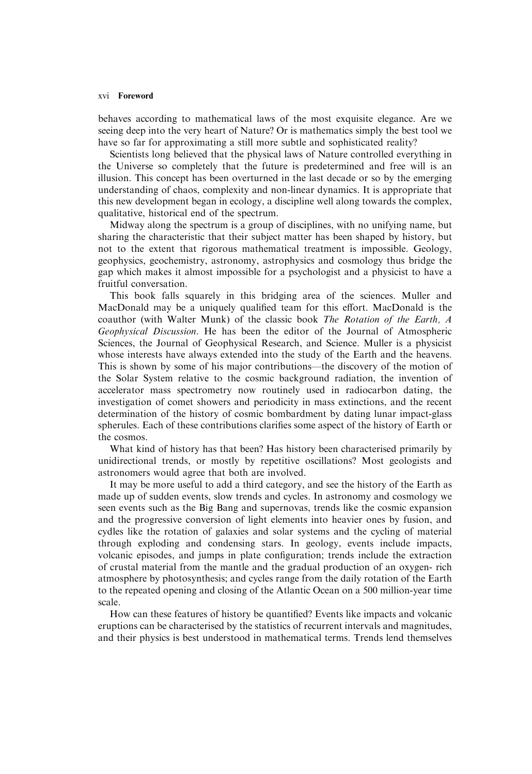#### xvi Foreword

behaves according to mathematical laws of the most exquisite elegance. Are we seeing deep into the very heart of Nature? Or is mathematics simply the best tool we have so far for approximating a still more subtle and sophisticated reality?

Scientists long believed that the physical laws of Nature controlled everything in the Universe so completely that the future is predetermined and free will is an illusion. This concept has been overturned in the last decade or so by the emerging understanding of chaos, complexity and non-linear dynamics. It is appropriate that this new development began in ecology, a discipline well along towards the complex, qualitative, historical end of the spectrum.

Midway along the spectrum is a group of disciplines, with no unifying name, but sharing the characteristic that their subject matter has been shaped by history, but not to the extent that rigorous mathematical treatment is impossible. Geology, geophysics, geochemistry, astronomy, astrophysics and cosmology thus bridge the gap which makes it almost impossible for a psychologist and a physicist to have a fruitful conversation.

This book falls squarely in this bridging area of the sciences. Muller and MacDonald may be a uniquely qualified team for this effort. MacDonald is the coauthor (with Walter Munk) of the classic book The Rotation of the Earth, A Geophysical Discussion. He has been the editor of the Journal of Atmospheric Sciences, the Journal of Geophysical Research, and Science. Muller is a physicist whose interests have always extended into the study of the Earth and the heavens. This is shown by some of his major contributions—the discovery of the motion of the Solar System relative to the cosmic background radiation, the invention of accelerator mass spectrometry now routinely used in radiocarbon dating, the investigation of comet showers and periodicity in mass extinctions, and the recent determination of the history of cosmic bombardment by dating lunar impact-glass spherules. Each of these contributions clarifies some aspect of the history of Earth or the cosmos.

What kind of history has that been? Has history been characterised primarily by unidirectional trends, or mostly by repetitive oscillations? Most geologists and astronomers would agree that both are involved.

It may be more useful to add a third category, and see the history of the Earth as made up of sudden events, slow trends and cycles. In astronomy and cosmology we seen events such as the Big Bang and supernovas, trends like the cosmic expansion and the progressive conversion of light elements into heavier ones by fusion, and cydles like the rotation of galaxies and solar systems and the cycling of material through exploding and condensing stars. In geology, events include impacts, volcanic episodes, and jumps in plate configuration; trends include the extraction of crustal material from the mantle and the gradual production of an oxygen-rich atmosphere by photosynthesis; and cycles range from the daily rotation of the Earth to the repeated opening and closing of the Atlantic Ocean on a 500 million-year time scale.

How can these features of history be quantified? Events like impacts and volcanic eruptions can be characterised by the statistics of recurrent intervals and magnitudes, and their physics is best understood in mathematical terms. Trends lend themselves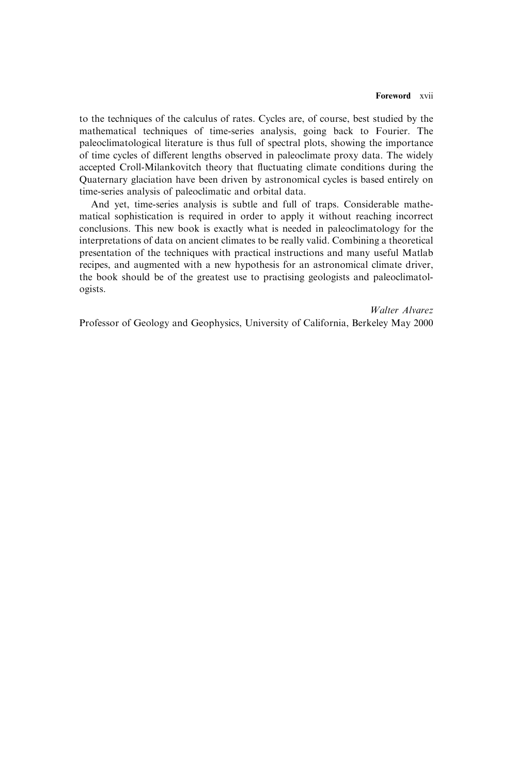to the techniques of the calculus of rates. Cycles are, of course, best studied by the mathematical techniques of time-series analysis, going back to Fourier. The paleoclimatological literature is thus full of spectral plots, showing the importance of time cycles of different lengths observed in paleoclimate proxy data. The widely accepted Croll-Milankovitch theory that fluctuating climate conditions during the Quaternary glaciation have been driven by astronomical cycles is based entirely on time-series analysis of paleoclimatic and orbital data.

And yet, time-series analysis is subtle and full of traps. Considerable mathematical sophistication is required in order to apply it without reaching incorrect conclusions. This new book is exactly what is needed in paleoclimatology for the interpretations of data on ancient climates to be really valid. Combining a theoretical presentation of the techniques with practical instructions and many useful Matlab recipes, and augmented with a new hypothesis for an astronomical climate driver, the book should be of the greatest use to practising geologists and paleoclimatologists.

Walter Alvarez

Professor of Geology and Geophysics, University of California, Berkeley May 2000